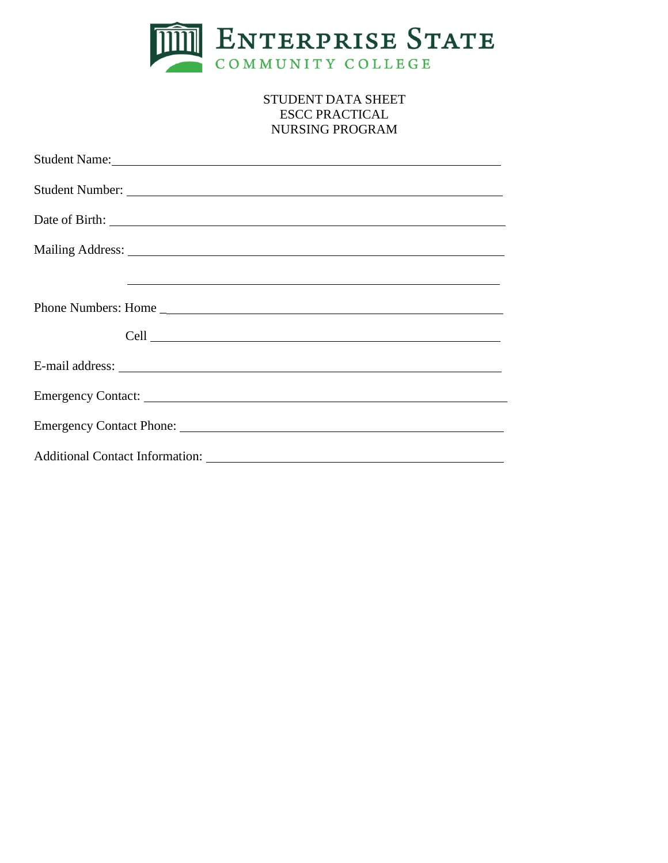

# STUDENT DATA SHEET ESCC PRACTICAL NURSING PROGRAM

| Student Name: Name and Student Name and Student Name and Student Name and Student Name and Student Name and Student Name and Student Name and Student Name and Student Name and Student Name and Student Name and Student Name |
|--------------------------------------------------------------------------------------------------------------------------------------------------------------------------------------------------------------------------------|
|                                                                                                                                                                                                                                |
|                                                                                                                                                                                                                                |
|                                                                                                                                                                                                                                |
| <u> 1999 - Johann Harry Harry Harry Harry Harry Harry Harry Harry Harry Harry Harry Harry Harry Harry Harry Harry</u>                                                                                                          |
|                                                                                                                                                                                                                                |
|                                                                                                                                                                                                                                |
|                                                                                                                                                                                                                                |
|                                                                                                                                                                                                                                |
|                                                                                                                                                                                                                                |
|                                                                                                                                                                                                                                |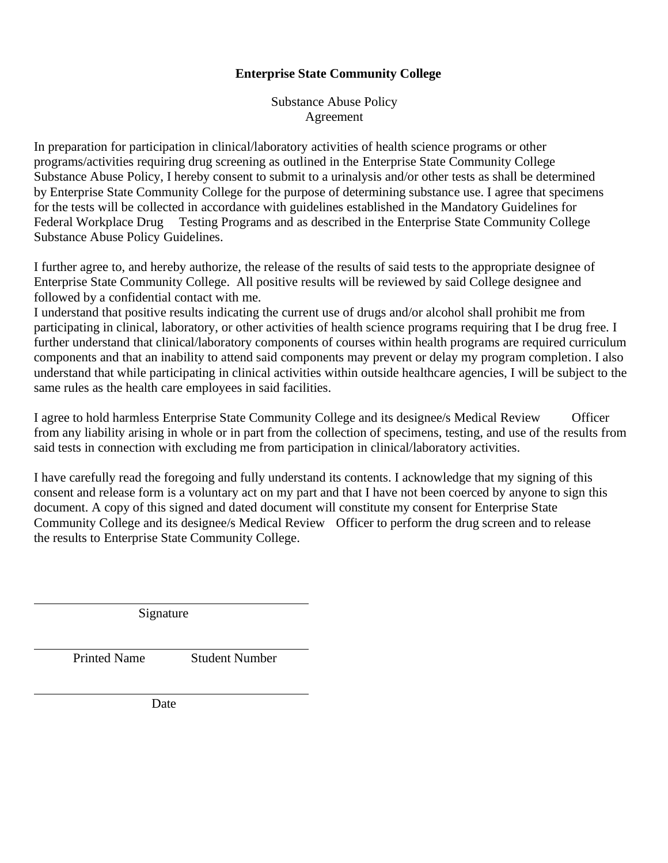## **Enterprise State Community College**

Substance Abuse Policy Agreement

In preparation for participation in clinical/laboratory activities of health science programs or other programs/activities requiring drug screening as outlined in the Enterprise State Community College Substance Abuse Policy, I hereby consent to submit to a urinalysis and/or other tests as shall be determined by Enterprise State Community College for the purpose of determining substance use. I agree that specimens for the tests will be collected in accordance with guidelines established in the Mandatory Guidelines for Federal Workplace Drug Testing Programs and as described in the Enterprise State Community College Substance Abuse Policy Guidelines.

I further agree to, and hereby authorize, the release of the results of said tests to the appropriate designee of Enterprise State Community College. All positive results will be reviewed by said College designee and followed by a confidential contact with me.

I understand that positive results indicating the current use of drugs and/or alcohol shall prohibit me from participating in clinical, laboratory, or other activities of health science programs requiring that I be drug free. I further understand that clinical/laboratory components of courses within health programs are required curriculum components and that an inability to attend said components may prevent or delay my program completion. I also understand that while participating in clinical activities within outside healthcare agencies, I will be subject to the same rules as the health care employees in said facilities.

I agree to hold harmless Enterprise State Community College and its designee/s Medical Review Officer from any liability arising in whole or in part from the collection of specimens, testing, and use of the results from said tests in connection with excluding me from participation in clinical/laboratory activities.

I have carefully read the foregoing and fully understand its contents. I acknowledge that my signing of this consent and release form is a voluntary act on my part and that I have not been coerced by anyone to sign this document. A copy of this signed and dated document will constitute my consent for Enterprise State Community College and its designee/s Medical Review Officer to perform the drug screen and to release the results to Enterprise State Community College.

Signature

Printed Name Student Number

Date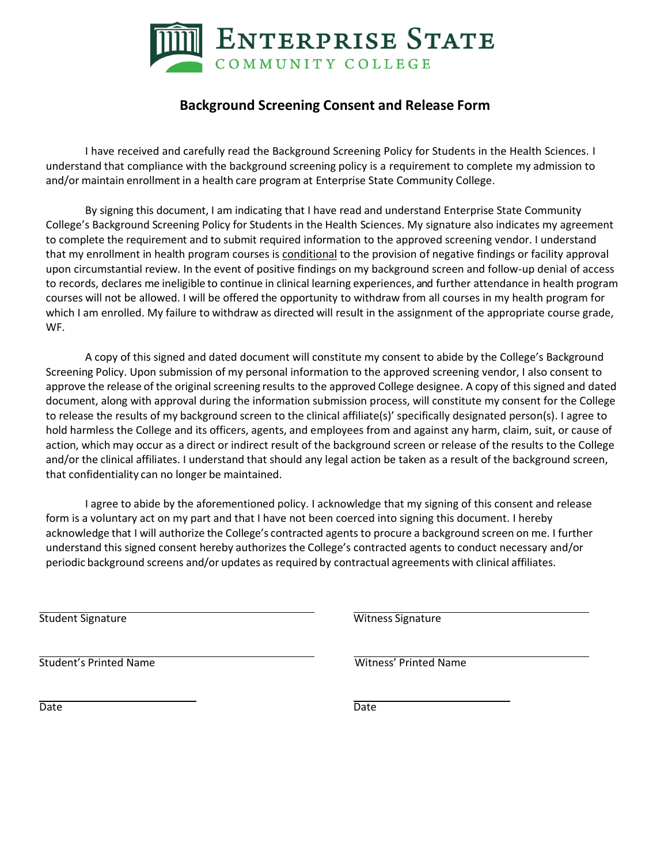

# **Background Screening Consent and Release Form**

I have received and carefully read the Background Screening Policy for Students in the Health Sciences. I understand that compliance with the background screening policy is a requirement to complete my admission to and/or maintain enrollment in a health care program at Enterprise State Community College.

By signing this document, I am indicating that I have read and understand Enterprise State Community College's Background Screening Policy for Students in the Health Sciences. My signature also indicates my agreement to complete the requirement and to submit required information to the approved screening vendor. I understand that my enrollment in health program courses is conditional to the provision of negative findings or facility approval upon circumstantial review. In the event of positive findings on my background screen and follow-up denial of access to records, declares me ineligible to continue in clinical learning experiences, and further attendance in health program courses will not be allowed. I will be offered the opportunity to withdraw from all courses in my health program for which I am enrolled. My failure to withdraw as directed will result in the assignment of the appropriate course grade, WF.

A copy of this signed and dated document will constitute my consent to abide by the College's Background Screening Policy. Upon submission of my personal information to the approved screening vendor, I also consent to approve the release of the original screening results to the approved College designee. A copy of this signed and dated document, along with approval during the information submission process, will constitute my consent for the College to release the results of my background screen to the clinical affiliate(s)' specifically designated person(s). I agree to hold harmless the College and its officers, agents, and employees from and against any harm, claim, suit, or cause of action, which may occur as a direct or indirect result of the background screen or release of the results to the College and/or the clinical affiliates. I understand that should any legal action be taken as a result of the background screen, that confidentiality can no longer be maintained.

I agree to abide by the aforementioned policy. I acknowledge that my signing of this consent and release form is a voluntary act on my part and that I have not been coerced into signing this document. I hereby acknowledge that I will authorize the College's contracted agents to procure a background screen on me. I further understand this signed consent hereby authorizes the College's contracted agents to conduct necessary and/or periodic background screens and/or updates as required by contractual agreements with clinical affiliates.

**Student Signature Witness Signature Witness Signature** 

Student's Printed Name Witness' Printed Name Witness' Printed Name

Date **Date** Date **Date** Date **Date**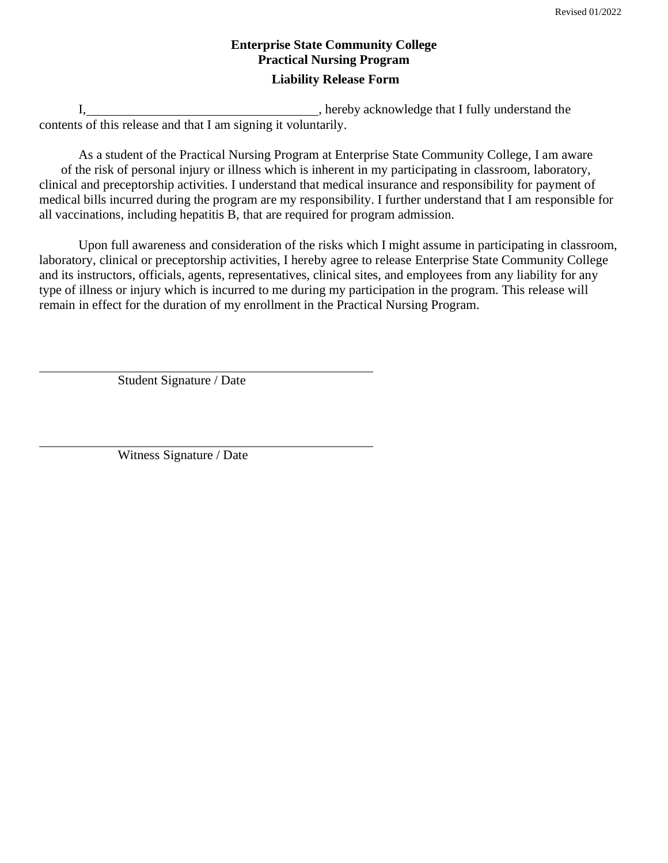# **Enterprise State Community College Practical Nursing Program Liability Release Form**

I, hereby acknowledge that I fully understand the contents of this release and that I am signing it voluntarily.

As a student of the Practical Nursing Program at Enterprise State Community College, I am aware of the risk of personal injury or illness which is inherent in my participating in classroom, laboratory, clinical and preceptorship activities. I understand that medical insurance and responsibility for payment of medical bills incurred during the program are my responsibility. I further understand that I am responsible for all vaccinations, including hepatitis B, that are required for program admission.

Upon full awareness and consideration of the risks which I might assume in participating in classroom, laboratory, clinical or preceptorship activities, I hereby agree to release Enterprise State Community College and its instructors, officials, agents, representatives, clinical sites, and employees from any liability for any type of illness or injury which is incurred to me during my participation in the program. This release will remain in effect for the duration of my enrollment in the Practical Nursing Program.

Student Signature / Date

Witness Signature / Date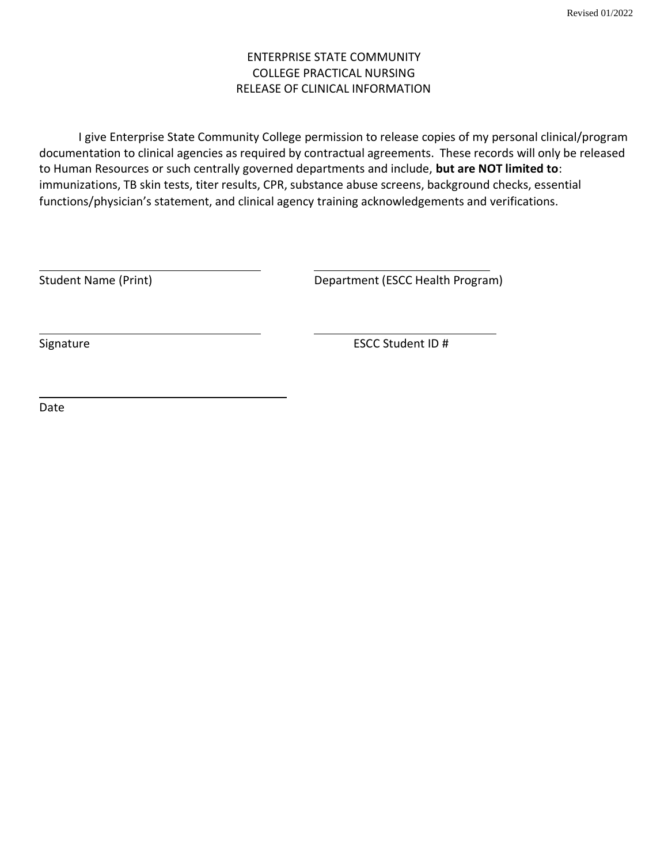# ENTERPRISE STATE COMMUNITY COLLEGE PRACTICAL NURSING RELEASE OF CLINICAL INFORMATION

I give Enterprise State Community College permission to release copies of my personal clinical/program documentation to clinical agencies as required by contractual agreements. These records will only be released to Human Resources or such centrally governed departments and include, **but are NOT limited to**: immunizations, TB skin tests, titer results, CPR, substance abuse screens, background checks, essential functions/physician's statement, and clinical agency training acknowledgements and verifications.

Student Name (Print) **Department (ESCC Health Program)** 

Signature ESCC Student ID #

Date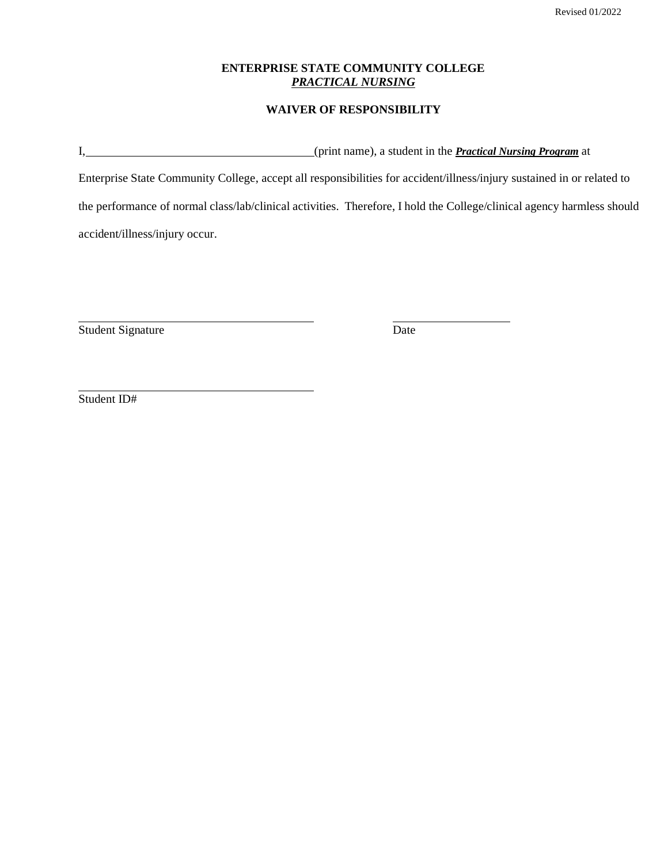## **ENTERPRISE STATE COMMUNITY COLLEGE** *PRACTICAL NURSING*

## **WAIVER OF RESPONSIBILITY**

I, (print name), a student in the *Practical Nursing Program* at

Enterprise State Community College, accept all responsibilities for accident/illness/injury sustained in or related to the performance of normal class/lab/clinical activities. Therefore, I hold the College/clinical agency harmless should accident/illness/injury occur.

Student Signature Date

Student ID#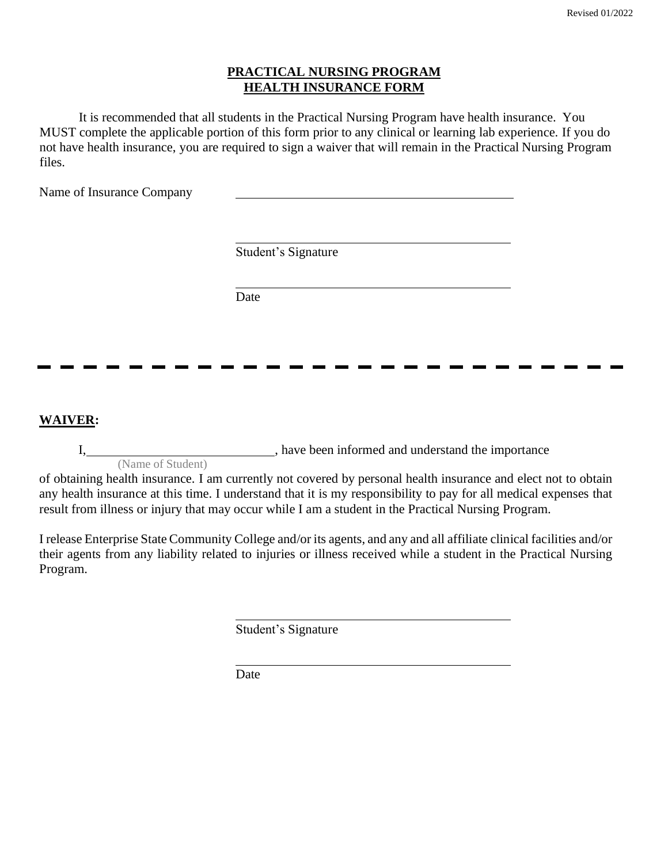## **PRACTICAL NURSING PROGRAM HEALTH INSURANCE FORM**

It is recommended that all students in the Practical Nursing Program have health insurance. You MUST complete the applicable portion of this form prior to any clinical or learning lab experience. If you do not have health insurance, you are required to sign a waiver that will remain in the Practical Nursing Program files.

Name of Insurance Company

Student's Signature

Date

**WAIVER:**

I,  $\frac{1}{2}$  , have been informed and understand the importance

(Name of Student)

of obtaining health insurance. I am currently not covered by personal health insurance and elect not to obtain any health insurance at this time. I understand that it is my responsibility to pay for all medical expenses that result from illness or injury that may occur while I am a student in the Practical Nursing Program.

I release Enterprise State Community College and/or its agents, and any and all affiliate clinical facilities and/or their agents from any liability related to injuries or illness received while a student in the Practical Nursing Program.

Student's Signature

Date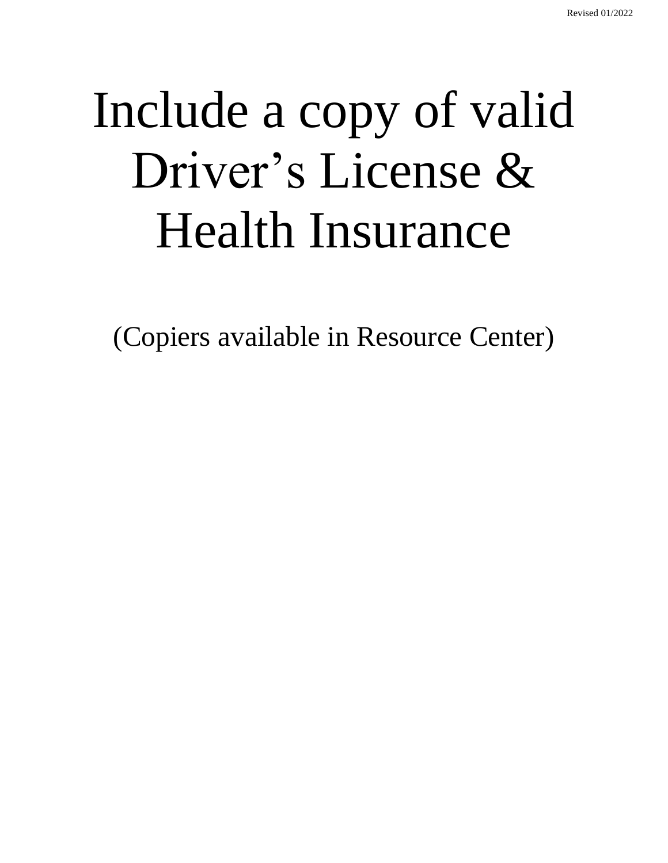# Include a copy of valid Driver's License & Health Insurance

(Copiers available in Resource Center)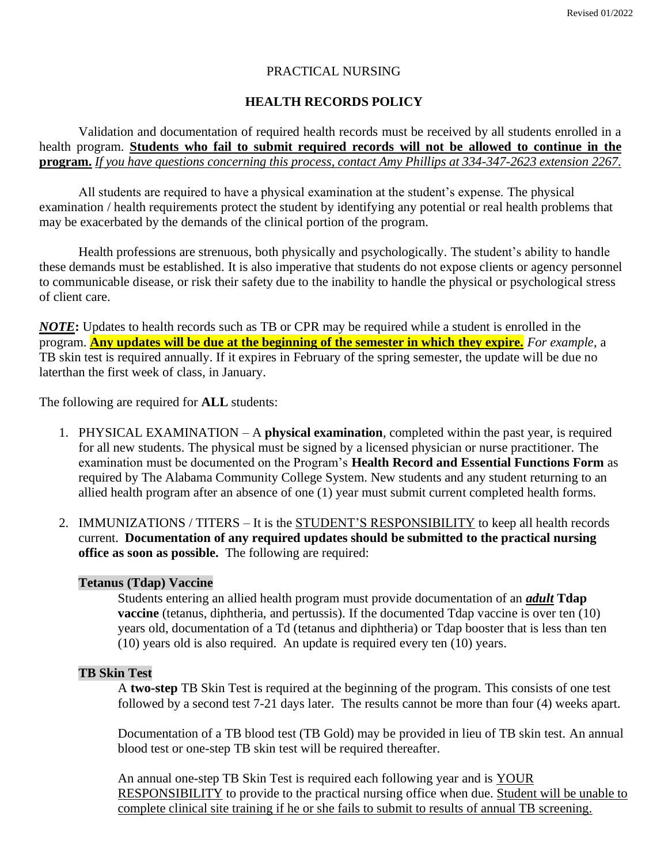## PRACTICAL NURSING

## **HEALTH RECORDS POLICY**

Validation and documentation of required health records must be received by all students enrolled in a health program. **Students who fail to submit required records will not be allowed to continue in the program.** *If you have questions concerning this process, contact Amy Phillips at 334-347-2623 extension 2267.*

All students are required to have a physical examination at the student's expense. The physical examination / health requirements protect the student by identifying any potential or real health problems that may be exacerbated by the demands of the clinical portion of the program.

Health professions are strenuous, both physically and psychologically. The student's ability to handle these demands must be established. It is also imperative that students do not expose clients or agency personnel to communicable disease, or risk their safety due to the inability to handle the physical or psychological stress of client care.

*NOTE***:** Updates to health records such as TB or CPR may be required while a student is enrolled in the program. **Any updates will be due at the beginning of the semester in which they expire.** *For example*, a TB skin test is required annually. If it expires in February of the spring semester, the update will be due no laterthan the first week of class, in January.

The following are required for **ALL** students:

- 1. PHYSICAL EXAMINATION A **physical examination**, completed within the past year, is required for all new students. The physical must be signed by a licensed physician or nurse practitioner. The examination must be documented on the Program's **Health Record and Essential Functions Form** as required by The Alabama Community College System. New students and any student returning to an allied health program after an absence of one (1) year must submit current completed health forms.
- 2. IMMUNIZATIONS / TITERS It is the STUDENT'S RESPONSIBILITY to keep all health records current. **Documentation of any required updates should be submitted to the practical nursing office as soon as possible.** The following are required:

## **Tetanus (Tdap) Vaccine**

Students entering an allied health program must provide documentation of an *adult* **Tdap vaccine** (tetanus, diphtheria, and pertussis). If the documented Tdap vaccine is over ten (10) years old, documentation of a Td (tetanus and diphtheria) or Tdap booster that is less than ten (10) years old is also required. An update is required every ten (10) years.

## **TB Skin Test**

A **two-step** TB Skin Test is required at the beginning of the program. This consists of one test followed by a second test 7-21 days later. The results cannot be more than four (4) weeks apart.

Documentation of a TB blood test (TB Gold) may be provided in lieu of TB skin test. An annual blood test or one-step TB skin test will be required thereafter.

An annual one-step TB Skin Test is required each following year and is YOUR RESPONSIBILITY to provide to the practical nursing office when due. Student will be unable to complete clinical site training if he or she fails to submit to results of annual TB screening.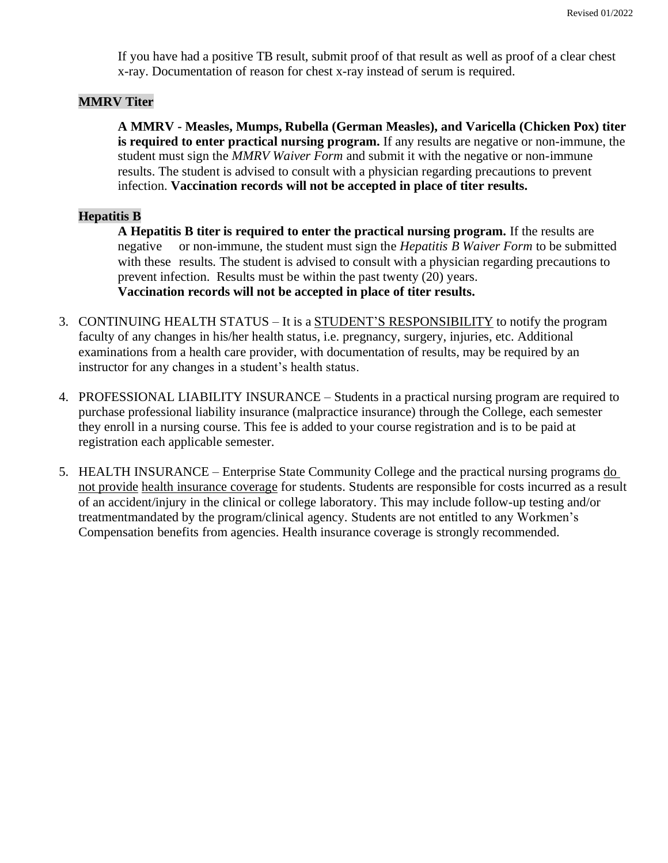If you have had a positive TB result, submit proof of that result as well as proof of a clear chest x-ray. Documentation of reason for chest x-ray instead of serum is required.

## **MMRV Titer**

**A MMRV - Measles, Mumps, Rubella (German Measles), and Varicella (Chicken Pox) titer is required to enter practical nursing program.** If any results are negative or non-immune, the student must sign the *MMRV Waiver Form* and submit it with the negative or non-immune results. The student is advised to consult with a physician regarding precautions to prevent infection. **Vaccination records will not be accepted in place of titer results.**

## **Hepatitis B**

**A Hepatitis B titer is required to enter the practical nursing program.** If the results are negative or non-immune, the student must sign the *Hepatitis B Waiver Form* to be submitted with these results*.* The student is advised to consult with a physician regarding precautions to prevent infection. Results must be within the past twenty (20) years. **Vaccination records will not be accepted in place of titer results.**

- 3. CONTINUING HEALTH STATUS It is a STUDENT'S RESPONSIBILITY to notify the program faculty of any changes in his/her health status, i.e. pregnancy, surgery, injuries, etc. Additional examinations from a health care provider, with documentation of results, may be required by an instructor for any changes in a student's health status.
- 4. PROFESSIONAL LIABILITY INSURANCE Students in a practical nursing program are required to purchase professional liability insurance (malpractice insurance) through the College, each semester they enroll in a nursing course. This fee is added to your course registration and is to be paid at registration each applicable semester.
- 5. HEALTH INSURANCE Enterprise State Community College and the practical nursing programs do not provide health insurance coverage for students. Students are responsible for costs incurred as a result of an accident/injury in the clinical or college laboratory. This may include follow-up testing and/or treatmentmandated by the program/clinical agency. Students are not entitled to any Workmen's Compensation benefits from agencies. Health insurance coverage is strongly recommended.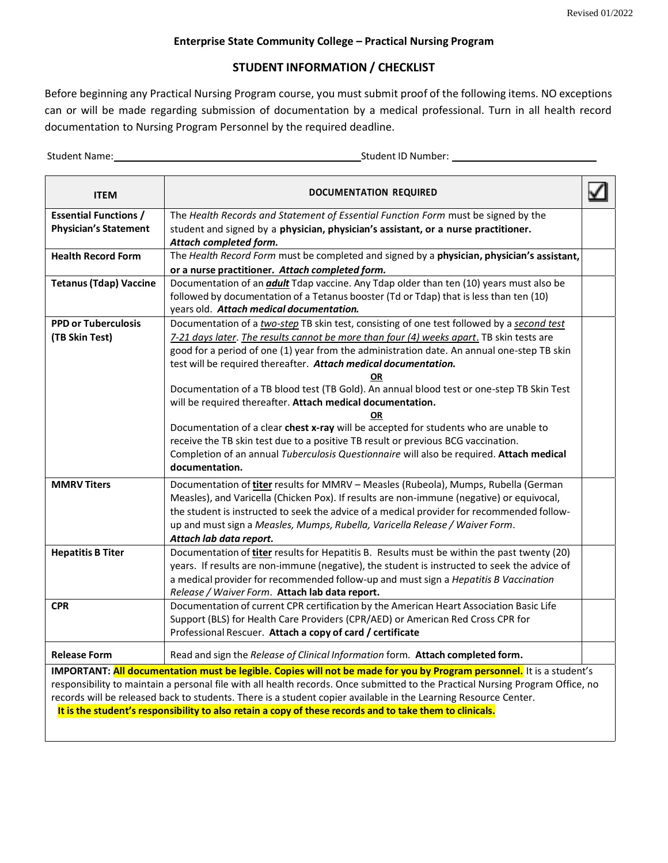#### **Enterprise State Community College – Practical Nursing Program**

## **STUDENT INFORMATION / CHECKLIST**

Before beginning any Practical Nursing Program course, you must submit proof of the following items. NO exceptions can or will be made regarding submission of documentation by a medical professional. Turn in all health record documentation to Nursing Program Personnel by the required deadline.

Student Name: Student ID Number:

| <b>ITEM</b>                                                                                                                    | <b>DOCUMENTATION REQUIRED</b>                                                                                                                                                                                               |  |  |
|--------------------------------------------------------------------------------------------------------------------------------|-----------------------------------------------------------------------------------------------------------------------------------------------------------------------------------------------------------------------------|--|--|
| <b>Essential Functions /</b>                                                                                                   | The Health Records and Statement of Essential Function Form must be signed by the                                                                                                                                           |  |  |
| <b>Physician's Statement</b>                                                                                                   | student and signed by a physician, physician's assistant, or a nurse practitioner.<br>Attach completed form.                                                                                                                |  |  |
| <b>Health Record Form</b>                                                                                                      | The Health Record Form must be completed and signed by a physician, physician's assistant,                                                                                                                                  |  |  |
|                                                                                                                                | or a nurse practitioner. Attach completed form.                                                                                                                                                                             |  |  |
| <b>Tetanus (Tdap) Vaccine</b>                                                                                                  | Documentation of an <i>adult</i> Tdap vaccine. Any Tdap older than ten (10) years must also be                                                                                                                              |  |  |
|                                                                                                                                | followed by documentation of a Tetanus booster (Td or Tdap) that is less than ten (10)                                                                                                                                      |  |  |
| <b>PPD or Tuberculosis</b>                                                                                                     | years old. Attach medical documentation.<br>Documentation of a two-step TB skin test, consisting of one test followed by a second test                                                                                      |  |  |
| (TB Skin Test)                                                                                                                 | 7-21 days later. The results cannot be more than four (4) weeks apart. TB skin tests are                                                                                                                                    |  |  |
|                                                                                                                                | good for a period of one (1) year from the administration date. An annual one-step TB skin                                                                                                                                  |  |  |
|                                                                                                                                | test will be required thereafter. Attach medical documentation.                                                                                                                                                             |  |  |
|                                                                                                                                | OR                                                                                                                                                                                                                          |  |  |
|                                                                                                                                | Documentation of a TB blood test (TB Gold). An annual blood test or one-step TB Skin Test                                                                                                                                   |  |  |
|                                                                                                                                | will be required thereafter. Attach medical documentation.                                                                                                                                                                  |  |  |
|                                                                                                                                | <b>OR</b><br>Documentation of a clear chest x-ray will be accepted for students who are unable to                                                                                                                           |  |  |
|                                                                                                                                | receive the TB skin test due to a positive TB result or previous BCG vaccination.                                                                                                                                           |  |  |
|                                                                                                                                | Completion of an annual Tuberculosis Questionnaire will also be required. Attach medical                                                                                                                                    |  |  |
|                                                                                                                                | documentation.                                                                                                                                                                                                              |  |  |
| <b>MMRV Titers</b>                                                                                                             | Documentation of titer results for MMRV - Measles (Rubeola), Mumps, Rubella (German                                                                                                                                         |  |  |
|                                                                                                                                | Measles), and Varicella (Chicken Pox). If results are non-immune (negative) or equivocal,                                                                                                                                   |  |  |
|                                                                                                                                | the student is instructed to seek the advice of a medical provider for recommended follow-                                                                                                                                  |  |  |
|                                                                                                                                | up and must sign a Measles, Mumps, Rubella, Varicella Release / Waiver Form.                                                                                                                                                |  |  |
| <b>Hepatitis B Titer</b>                                                                                                       | Attach lab data report.<br>Documentation of titer results for Hepatitis B. Results must be within the past twenty (20)                                                                                                      |  |  |
|                                                                                                                                | years. If results are non-immune (negative), the student is instructed to seek the advice of                                                                                                                                |  |  |
|                                                                                                                                | a medical provider for recommended follow-up and must sign a Hepatitis B Vaccination                                                                                                                                        |  |  |
|                                                                                                                                | Release / Waiver Form. Attach lab data report.                                                                                                                                                                              |  |  |
| <b>CPR</b>                                                                                                                     | Documentation of current CPR certification by the American Heart Association Basic Life                                                                                                                                     |  |  |
|                                                                                                                                | Support (BLS) for Health Care Providers (CPR/AED) or American Red Cross CPR for                                                                                                                                             |  |  |
|                                                                                                                                | Professional Rescuer. Attach a copy of card / certificate                                                                                                                                                                   |  |  |
| <b>Release Form</b>                                                                                                            | Read and sign the Release of Clinical Information form. Attach completed form.                                                                                                                                              |  |  |
|                                                                                                                                | IMPORTANT: All documentation must be legible. Copies will not be made for you by Program personnel. It is a student's                                                                                                       |  |  |
| responsibility to maintain a personal file with all health records. Once submitted to the Practical Nursing Program Office, no |                                                                                                                                                                                                                             |  |  |
|                                                                                                                                | records will be released back to students. There is a student copier available in the Learning Resource Center.<br>It is the student's responsibility to also retain a copy of these records and to take them to clinicals. |  |  |
|                                                                                                                                |                                                                                                                                                                                                                             |  |  |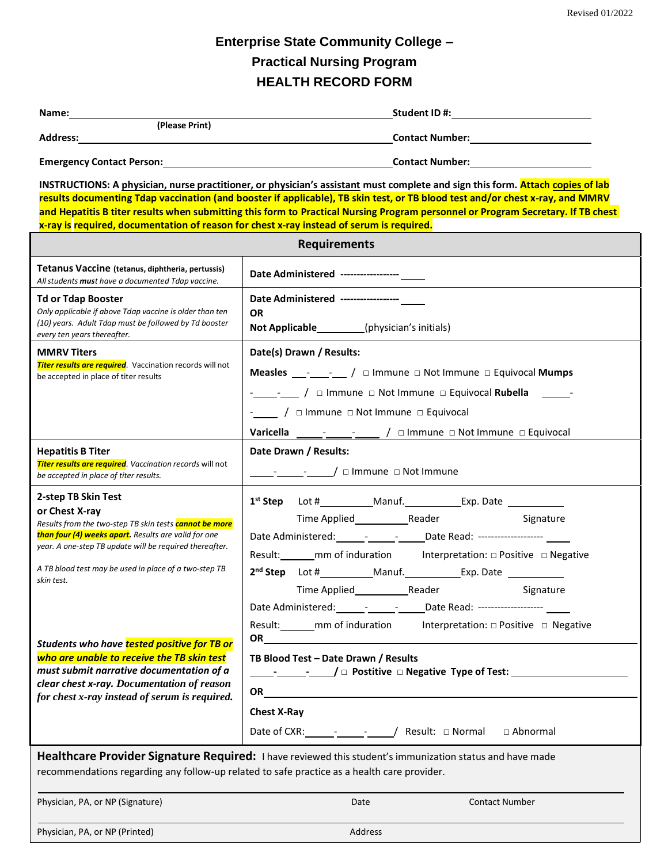# **Enterprise State Community College – Practical Nursing Program HEALTH RECORD FORM**

| Name: Name                                                                                                                                                                                                                                                                                                                                                                                                                                                                                                                        | Student ID #: New York Student ID #:                                                                                                                                                                                                                                                                                                                                                                                                                                                                                                                                                                                                                                                                                                                                                     |  |  |  |
|-----------------------------------------------------------------------------------------------------------------------------------------------------------------------------------------------------------------------------------------------------------------------------------------------------------------------------------------------------------------------------------------------------------------------------------------------------------------------------------------------------------------------------------|------------------------------------------------------------------------------------------------------------------------------------------------------------------------------------------------------------------------------------------------------------------------------------------------------------------------------------------------------------------------------------------------------------------------------------------------------------------------------------------------------------------------------------------------------------------------------------------------------------------------------------------------------------------------------------------------------------------------------------------------------------------------------------------|--|--|--|
| (Please Print)                                                                                                                                                                                                                                                                                                                                                                                                                                                                                                                    |                                                                                                                                                                                                                                                                                                                                                                                                                                                                                                                                                                                                                                                                                                                                                                                          |  |  |  |
| Address: the contract of the contract of the contract of the contract of the contract of the contract of the contract of the contract of the contract of the contract of the contract of the contract of the contract of the c                                                                                                                                                                                                                                                                                                    | <b>Contact Number:</b> Name of Allen Contact Number:                                                                                                                                                                                                                                                                                                                                                                                                                                                                                                                                                                                                                                                                                                                                     |  |  |  |
|                                                                                                                                                                                                                                                                                                                                                                                                                                                                                                                                   |                                                                                                                                                                                                                                                                                                                                                                                                                                                                                                                                                                                                                                                                                                                                                                                          |  |  |  |
| x-ray is required, documentation of reason for chest x-ray instead of serum is required.                                                                                                                                                                                                                                                                                                                                                                                                                                          | INSTRUCTIONS: A physician, nurse practitioner, or physician's assistant must complete and sign this form. Attach copies of lab<br>results documenting Tdap vaccination (and booster if applicable), TB skin test, or TB blood test and/or chest x-ray, and MMRV<br>and Hepatitis B titer results when submitting this form to Practical Nursing Program personnel or Program Secretary. If TB chest                                                                                                                                                                                                                                                                                                                                                                                      |  |  |  |
|                                                                                                                                                                                                                                                                                                                                                                                                                                                                                                                                   | <b>Requirements</b>                                                                                                                                                                                                                                                                                                                                                                                                                                                                                                                                                                                                                                                                                                                                                                      |  |  |  |
| Tetanus Vaccine (tetanus, diphtheria, pertussis)<br>All students must have a documented Tdap vaccine.                                                                                                                                                                                                                                                                                                                                                                                                                             | Date Administered ------------------                                                                                                                                                                                                                                                                                                                                                                                                                                                                                                                                                                                                                                                                                                                                                     |  |  |  |
| <b>Td or Tdap Booster</b><br>Only applicable if above Tdap vaccine is older than ten                                                                                                                                                                                                                                                                                                                                                                                                                                              | Date Administered -----------------<br><b>OR</b>                                                                                                                                                                                                                                                                                                                                                                                                                                                                                                                                                                                                                                                                                                                                         |  |  |  |
| (10) years. Adult Tdap must be followed by Td booster<br>every ten years thereafter.                                                                                                                                                                                                                                                                                                                                                                                                                                              | Not Applicable__________(physician's initials)                                                                                                                                                                                                                                                                                                                                                                                                                                                                                                                                                                                                                                                                                                                                           |  |  |  |
| <b>MMRV Titers</b>                                                                                                                                                                                                                                                                                                                                                                                                                                                                                                                | Date(s) Drawn / Results:                                                                                                                                                                                                                                                                                                                                                                                                                                                                                                                                                                                                                                                                                                                                                                 |  |  |  |
| <b>Titer results are required</b> . Vaccination records will not<br>be accepted in place of titer results                                                                                                                                                                                                                                                                                                                                                                                                                         | Measles $\frac{1}{\sqrt{2}}$ - $\frac{1}{\sqrt{2}}$ / $\Box$ Immune $\Box$ Not Immune $\Box$ Equivocal Mumps                                                                                                                                                                                                                                                                                                                                                                                                                                                                                                                                                                                                                                                                             |  |  |  |
|                                                                                                                                                                                                                                                                                                                                                                                                                                                                                                                                   | -________ / $\Box$ Immune $\Box$ Not Immune $\Box$ Equivocal Rubella -                                                                                                                                                                                                                                                                                                                                                                                                                                                                                                                                                                                                                                                                                                                   |  |  |  |
|                                                                                                                                                                                                                                                                                                                                                                                                                                                                                                                                   | - / $\Box$ / $\Box$ Immune $\Box$ Not  Immune $\Box$ Equivocal                                                                                                                                                                                                                                                                                                                                                                                                                                                                                                                                                                                                                                                                                                                           |  |  |  |
|                                                                                                                                                                                                                                                                                                                                                                                                                                                                                                                                   |                                                                                                                                                                                                                                                                                                                                                                                                                                                                                                                                                                                                                                                                                                                                                                                          |  |  |  |
| <b>Hepatitis B Titer</b><br><b>Titer results are required</b> . Vaccination records will not<br>be accepted in place of titer results.                                                                                                                                                                                                                                                                                                                                                                                            | Date Drawn / Results:<br>$\lnot$ $\lnot$ $\lnot$ $\lnot$ Immune $\lnot$ Not Immune                                                                                                                                                                                                                                                                                                                                                                                                                                                                                                                                                                                                                                                                                                       |  |  |  |
| 2-step TB Skin Test<br>or Chest X-ray<br>Results from the two-step TB skin tests cannot be more<br>than four (4) weeks apart. Results are valid for one<br>year. A one-step TB update will be required thereafter.<br>A TB blood test may be used in place of a two-step TB<br>skin test.<br>Students who have tested positive for TB or<br>who are unable to receive the TB skin test<br>must submit narrative documentation of a<br>clear chest x-ray. Documentation of reason<br>for chest x-ray instead of serum is required. | Signature<br>Date Administered: ________________________Date Read: ---------------------<br>Result: _______ mm of induration director that interpretation: $\Box$ Positive $\Box$ Negative<br>2 <sup>nd</sup> Step Lot # _________ Manuf. __________ Exp. Date ___________<br>Reader<br>Signature<br>Date Administered: ________________________Date Read: ---------------------<br>Result: mm of induration<br>Interpretation: □ Positive □ Negative<br>OR <u>the contract of the contract of the contract of the contract of the contract of the contract of the contract of the contract of the contract of the contract of the contract of the contract of the contract of the contra</u><br>TB Blood Test - Date Drawn / Results<br>OR $\qquad \qquad \qquad$<br><b>Chest X-Ray</b> |  |  |  |
|                                                                                                                                                                                                                                                                                                                                                                                                                                                                                                                                   | Date of CXR: _____________________/ Result: □ Normal<br>□ Abnormal                                                                                                                                                                                                                                                                                                                                                                                                                                                                                                                                                                                                                                                                                                                       |  |  |  |
| recommendations regarding any follow-up related to safe practice as a health care provider.                                                                                                                                                                                                                                                                                                                                                                                                                                       | Healthcare Provider Signature Required: I have reviewed this student's immunization status and have made                                                                                                                                                                                                                                                                                                                                                                                                                                                                                                                                                                                                                                                                                 |  |  |  |
| Physician, PA, or NP (Signature)                                                                                                                                                                                                                                                                                                                                                                                                                                                                                                  | <b>Contact Number</b><br>Date                                                                                                                                                                                                                                                                                                                                                                                                                                                                                                                                                                                                                                                                                                                                                            |  |  |  |
| Physician, PA, or NP (Printed)                                                                                                                                                                                                                                                                                                                                                                                                                                                                                                    | Address                                                                                                                                                                                                                                                                                                                                                                                                                                                                                                                                                                                                                                                                                                                                                                                  |  |  |  |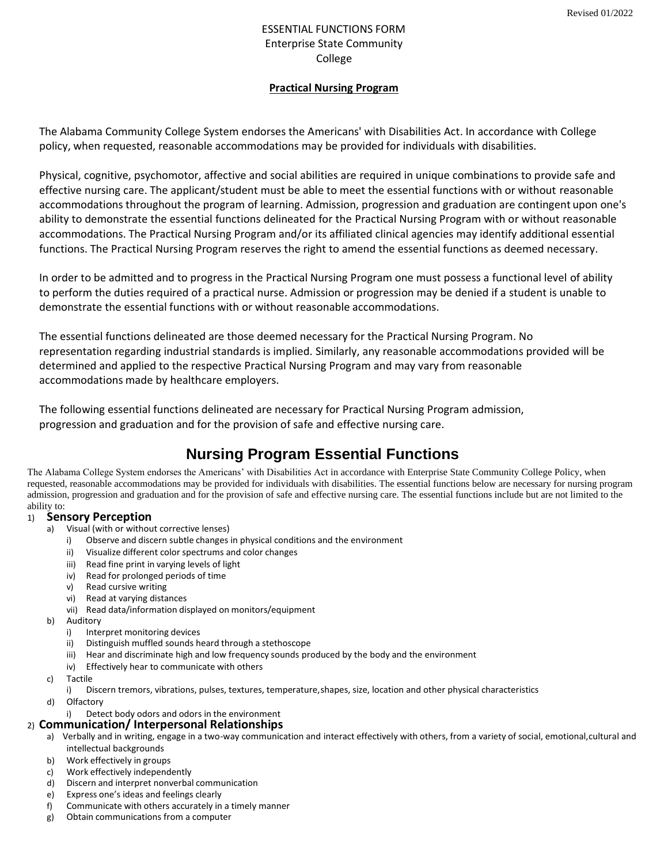## ESSENTIAL FUNCTIONS FORM Enterprise State Community College

#### **Practical Nursing Program**

The Alabama Community College System endorses the Americans' with Disabilities Act. In accordance with College policy, when requested, reasonable accommodations may be provided for individuals with disabilities.

Physical, cognitive, psychomotor, affective and social abilities are required in unique combinations to provide safe and effective nursing care. The applicant/student must be able to meet the essential functions with or without reasonable accommodations throughout the program of learning. Admission, progression and graduation are contingent upon one's ability to demonstrate the essential functions delineated for the Practical Nursing Program with or without reasonable accommodations. The Practical Nursing Program and/or its affiliated clinical agencies may identify additional essential functions. The Practical Nursing Program reserves the right to amend the essential functions as deemed necessary.

In order to be admitted and to progress in the Practical Nursing Program one must possess a functional level of ability to perform the duties required of a practical nurse. Admission or progression may be denied if a student is unable to demonstrate the essential functions with or without reasonable accommodations.

The essential functions delineated are those deemed necessary for the Practical Nursing Program. No representation regarding industrial standards is implied. Similarly, any reasonable accommodations provided will be determined and applied to the respective Practical Nursing Program and may vary from reasonable accommodations made by healthcare employers.

The following essential functions delineated are necessary for Practical Nursing Program admission, progression and graduation and for the provision of safe and effective nursing care.

# **Nursing Program Essential Functions**

The Alabama College System endorses the Americans' with Disabilities Act in accordance with Enterprise State Community College Policy, when requested, reasonable accommodations may be provided for individuals with disabilities. The essential functions below are necessary for nursing program admission, progression and graduation and for the provision of safe and effective nursing care. The essential functions include but are not limited to the ability to:

#### 1) **Sensory Perception**

- a) Visual (with or without corrective lenses)
	- i) Observe and discern subtle changes in physical conditions and the environment
	- ii) Visualize different color spectrums and color changes
	- iii) Read fine print in varying levels of light
	- iv) Read for prolonged periods of time
	- v) Read cursive writing
	- vi) Read at varying distances
	- vii) Read data/information displayed on monitors/equipment
- b) Auditory
	-
	- i) Interpret monitoring devices<br>ii) Distinguish muffled sounds he Distinguish muffled sounds heard through a stethoscope
	- iii) Hear and discriminate high and low frequency sounds produced by the body and the environment
	- iv) Effectively hear to communicate with others
- c) Tactile
	- i) Discern tremors, vibrations, pulses, textures, temperature,shapes, size, location and other physical characteristics
- d) Olfactory
	- Detect body odors and odors in the environment

#### 2) **Communication/ Interpersonal Relationships**

- a) Verbally and in writing, engage in a two-way communication and interact effectively with others, from a variety of social, emotional,cultural and intellectual backgrounds
- b) Work effectively in groups
- c) Work effectively independently
- d) Discern and interpret nonverbal communication
- e) Express one's ideas and feelings clearly
- f) Communicate with others accurately in a timely manner
- g) Obtain communications from a computer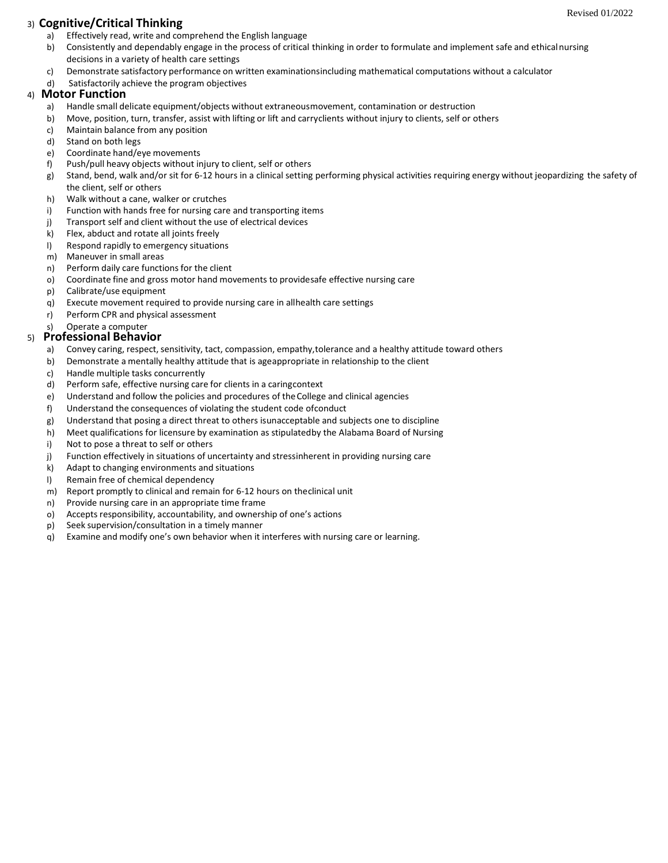## 3) **Cognitive/Critical Thinking**

- a) Effectively read, write and comprehend the English language
- b) Consistently and dependably engage in the process of critical thinking in order to formulate and implement safe and ethical nursing decisions in a variety of health care settings
- c) Demonstrate satisfactory performance on written examinationsincluding mathematical computations without a calculator
- d) Satisfactorily achieve the program objectives

## 4) **Motor Function**

- a) Handle small delicate equipment/objects without extraneousmovement, contamination or destruction
- b) Move, position, turn, transfer, assist with lifting or lift and carryclients without injury to clients, self or others
- c) Maintain balance from any position
- d) Stand on both legs
- e) Coordinate hand/eye movements
- f) Push/pull heavy objects without injury to client, self or others
- g) Stand, bend, walk and/or sit for 6-12 hours in a clinical setting performing physical activities requiring energy without jeopardizing the safety of the client, self or others
- h) Walk without a cane, walker or crutches
- i) Function with hands free for nursing care and transporting items
- j) Transport self and client without the use of electrical devices
- k) Flex, abduct and rotate all joints freely
- l) Respond rapidly to emergency situations
- m) Maneuver in small areas<br>n) Perform daily care function
- Perform daily care functions for the client
- o) Coordinate fine and gross motor hand movements to providesafe effective nursing care
- p) Calibrate/use equipment
- q) Execute movement required to provide nursing care in allhealth care settings
- r) Perform CPR and physical assessment
- s) Operate a computer

## 5) **Professional Behavior**

- a) Convey caring, respect, sensitivity, tact, compassion, empathy, tolerance and a healthy attitude toward others
- b) Demonstrate a mentally healthy attitude that is ageappropriate in relationship to the client
- c) Handle multiple tasks concurrently
- d) Perform safe, effective nursing care for clients in a caringcontext
- e) Understand and follow the policies and procedures of theCollege and clinical agencies
- f) Understand the consequences of violating the student code ofconduct
- g) Understand that posing a direct threat to others isunacceptable and subjects one to discipline
- h) Meet qualifications for licensure by examination as stipulatedby the Alabama Board of Nursing
- i) Not to pose a threat to self or others
- j) Function effectively in situations of uncertainty and stressinherent in providing nursing care
- k) Adapt to changing environments and situations
- l) Remain free of chemical dependency
- m) Report promptly to clinical and remain for 6-12 hours on theclinical unit
- n) Provide nursing care in an appropriate time frame
- o) Accepts responsibility, accountability, and ownership of one's actions
- p) Seek supervision/consultation in a timely manner
- q) Examine and modify one's own behavior when it interferes with nursing care or learning.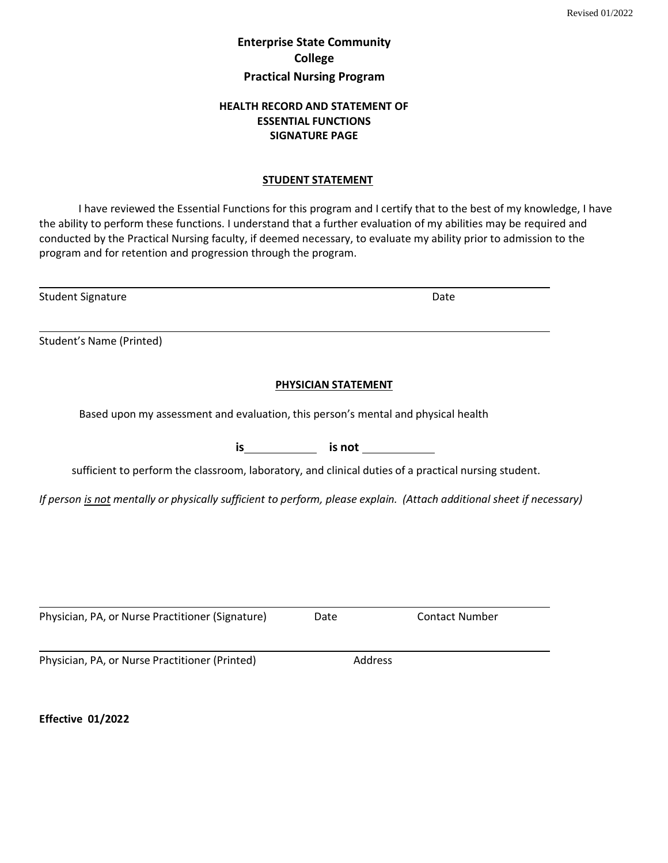# **Enterprise State Community College Practical Nursing Program**

## **HEALTH RECORD AND STATEMENT OF ESSENTIAL FUNCTIONS SIGNATURE PAGE**

## **STUDENT STATEMENT**

I have reviewed the Essential Functions for this program and I certify that to the best of my knowledge, I have the ability to perform these functions. I understand that a further evaluation of my abilities may be required and conducted by the Practical Nursing faculty, if deemed necessary, to evaluate my ability prior to admission to the program and for retention and progression through the program.

| <b>Student Signature</b>                                                                                              |                          | Date                  |  |
|-----------------------------------------------------------------------------------------------------------------------|--------------------------|-----------------------|--|
| Student's Name (Printed)                                                                                              |                          |                       |  |
|                                                                                                                       | PHYSICIAN STATEMENT      |                       |  |
| Based upon my assessment and evaluation, this person's mental and physical health                                     |                          |                       |  |
|                                                                                                                       | $is$ $is$ $is$ $not$ $s$ |                       |  |
| sufficient to perform the classroom, laboratory, and clinical duties of a practical nursing student.                  |                          |                       |  |
| If person is not mentally or physically sufficient to perform, please explain. (Attach additional sheet if necessary) |                          |                       |  |
|                                                                                                                       |                          |                       |  |
|                                                                                                                       |                          |                       |  |
|                                                                                                                       |                          |                       |  |
| Physician, PA, or Nurse Practitioner (Signature)                                                                      | Date                     | <b>Contact Number</b> |  |
| Physician, PA, or Nurse Practitioner (Printed)                                                                        | Address                  |                       |  |

**Effective 01/2022**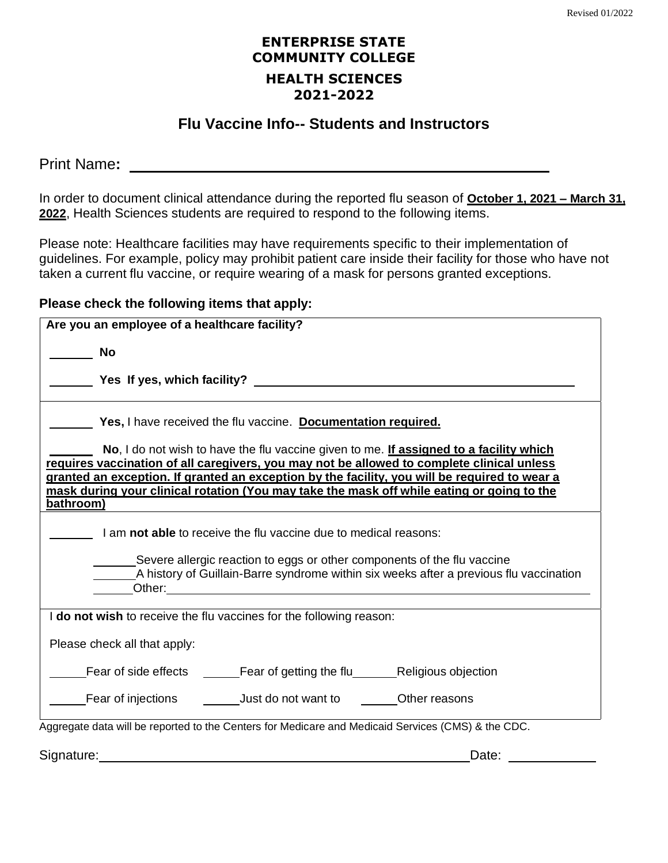# **ENTERPRISE STATE COMMUNITY COLLEGE HEALTH SCIENCES 2021-2022**

# **Flu Vaccine Info-- Students and Instructors**

Print Name**:** 

In order to document clinical attendance during the reported flu season of **October 1, 2021 – March 31, 2022**, Health Sciences students are required to respond to the following items.

Please note: Healthcare facilities may have requirements specific to their implementation of guidelines. For example, policy may prohibit patient care inside their facility for those who have not taken a current flu vaccine, or require wearing of a mask for persons granted exceptions.

# **Please check the following items that apply:**

| Are you an employee of a healthcare facility?                                                                                                                                                            |
|----------------------------------------------------------------------------------------------------------------------------------------------------------------------------------------------------------|
| <b>No</b>                                                                                                                                                                                                |
|                                                                                                                                                                                                          |
| Yes, I have received the flu vaccine. Documentation required.                                                                                                                                            |
| No, I do not wish to have the flu vaccine given to me. If assigned to a facility which<br>requires vaccination of all caregivers, you may not be allowed to complete clinical unless                     |
| granted an exception. If granted an exception by the facility, you will be required to wear a<br>mask during your clinical rotation (You may take the mask off while eating or going to the<br>bathroom) |
| I am not able to receive the flu vaccine due to medical reasons:                                                                                                                                         |
| Severe allergic reaction to eggs or other components of the flu vaccine<br>A history of Guillain-Barre syndrome within six weeks after a previous flu vaccination                                        |
| I do not wish to receive the flu vaccines for the following reason:                                                                                                                                      |
| Please check all that apply:                                                                                                                                                                             |
|                                                                                                                                                                                                          |
| Fear of injections ______________Just do not want to _________Other reasons                                                                                                                              |
| Aggregate data will be reported to the Centers for Medicare and Medicaid Services (CMS) & the CDC.                                                                                                       |
| Signature:<br>Date:                                                                                                                                                                                      |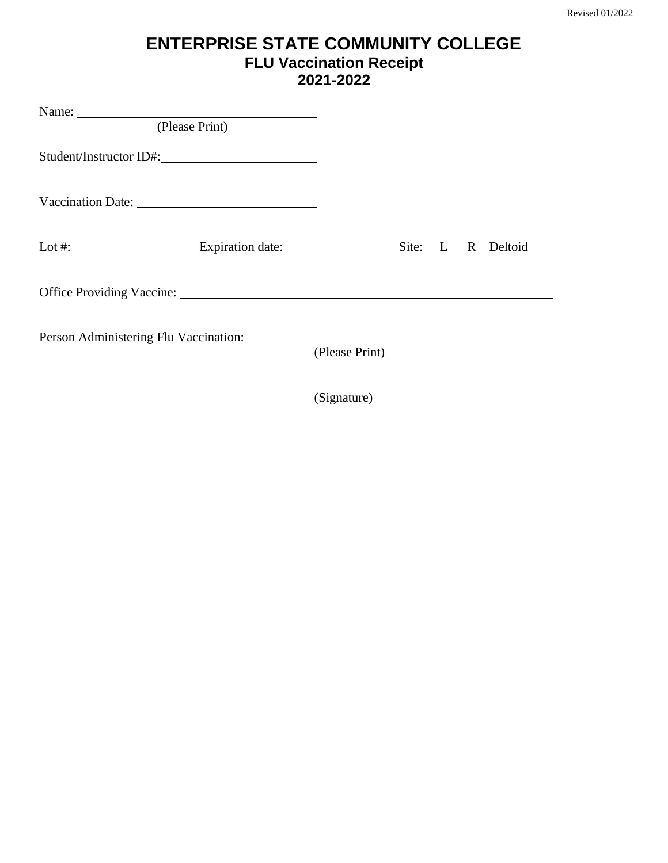# **ENTERPRISE STATE COMMUNITY COLLEGE FLU Vaccination Receipt 2021-2022**

| (Please Print)                                                                            |                |  |  |
|-------------------------------------------------------------------------------------------|----------------|--|--|
| Student/Instructor ID#:                                                                   |                |  |  |
|                                                                                           |                |  |  |
| Lot #: ________________________Expiration date: ________________________Site: L R Deltoid |                |  |  |
|                                                                                           |                |  |  |
|                                                                                           |                |  |  |
|                                                                                           | (Please Print) |  |  |
|                                                                                           |                |  |  |

(Signature)